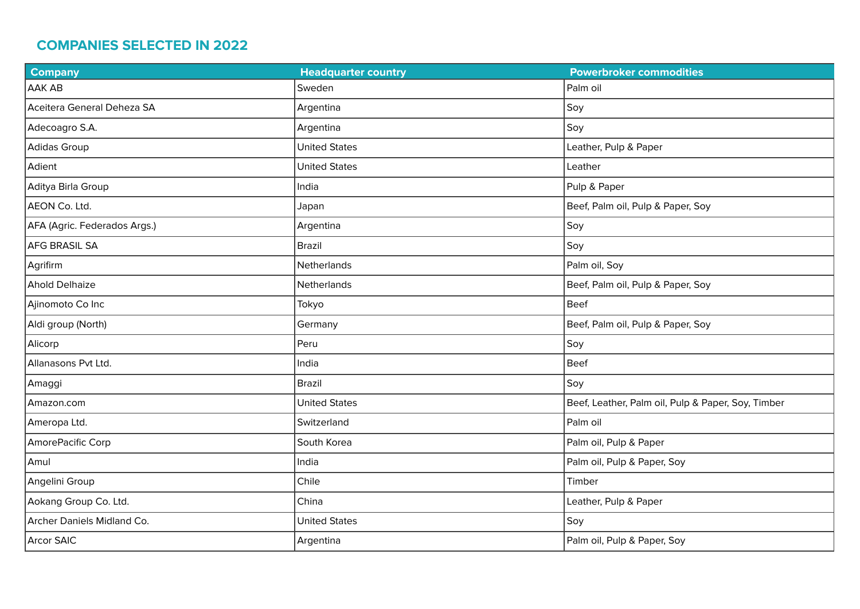## **COMPANIES SELECTED IN 2022**

| <b>Company</b>               | <b>Headquarter country</b> | <b>Powerbroker commodities</b>                     |
|------------------------------|----------------------------|----------------------------------------------------|
| <b>AAK AB</b>                | Sweden                     | Palm oil                                           |
| Aceitera General Deheza SA   | Argentina                  | Soy                                                |
| Adecoagro S.A.               | Argentina                  | Soy                                                |
| Adidas Group                 | <b>United States</b>       | Leather, Pulp & Paper                              |
| Adient                       | <b>United States</b>       | Leather                                            |
| Aditya Birla Group           | India                      | Pulp & Paper                                       |
| AEON Co. Ltd.                | Japan                      | Beef, Palm oil, Pulp & Paper, Soy                  |
| AFA (Agric. Federados Args.) | Argentina                  | Soy                                                |
| <b>AFG BRASIL SA</b>         | <b>Brazil</b>              | Soy                                                |
| Agrifirm                     | Netherlands                | Palm oil, Soy                                      |
| <b>Ahold Delhaize</b>        | Netherlands                | Beef, Palm oil, Pulp & Paper, Soy                  |
| Ajinomoto Co Inc             | Tokyo                      | Beef                                               |
| Aldi group (North)           | Germany                    | Beef, Palm oil, Pulp & Paper, Soy                  |
| Alicorp                      | Peru                       | Soy                                                |
| Allanasons Pvt Ltd.          | India                      | <b>Beef</b>                                        |
| Amaggi                       | <b>Brazil</b>              | Soy                                                |
| Amazon.com                   | <b>United States</b>       | Beef, Leather, Palm oil, Pulp & Paper, Soy, Timber |
| Ameropa Ltd.                 | Switzerland                | Palm oil                                           |
| AmorePacific Corp            | South Korea                | Palm oil, Pulp & Paper                             |
| Amul                         | India                      | Palm oil, Pulp & Paper, Soy                        |
| Angelini Group               | Chile                      | Timber                                             |
| Aokang Group Co. Ltd.        | China                      | Leather, Pulp & Paper                              |
| Archer Daniels Midland Co.   | <b>United States</b>       | Soy                                                |
| <b>Arcor SAIC</b>            | Argentina                  | Palm oil, Pulp & Paper, Soy                        |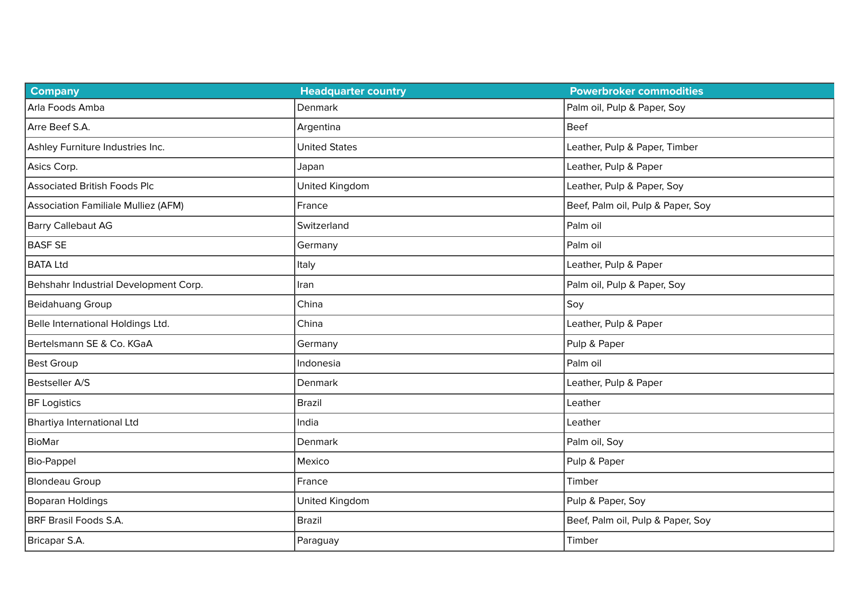| <b>Company</b>                        | <b>Headquarter country</b> | <b>Powerbroker commodities</b>    |
|---------------------------------------|----------------------------|-----------------------------------|
| Arla Foods Amba                       | Denmark                    | Palm oil, Pulp & Paper, Soy       |
| Arre Beef S.A.                        | Argentina                  | <b>Beef</b>                       |
| Ashley Furniture Industries Inc.      | <b>United States</b>       | Leather, Pulp & Paper, Timber     |
| Asics Corp.                           | Japan                      | Leather, Pulp & Paper             |
| <b>Associated British Foods Plc</b>   | United Kingdom             | Leather, Pulp & Paper, Soy        |
| Association Familiale Mulliez (AFM)   | France                     | Beef, Palm oil, Pulp & Paper, Soy |
| Barry Callebaut AG                    | Switzerland                | Palm oil                          |
| <b>BASF SE</b>                        | Germany                    | Palm oil                          |
| <b>BATA Ltd</b>                       | Italy                      | Leather, Pulp & Paper             |
| Behshahr Industrial Development Corp. | Iran                       | Palm oil, Pulp & Paper, Soy       |
| Beidahuang Group                      | China                      | Soy                               |
| Belle International Holdings Ltd.     | China                      | Leather, Pulp & Paper             |
| Bertelsmann SE & Co. KGaA             | Germany                    | Pulp & Paper                      |
| <b>Best Group</b>                     | Indonesia                  | Palm oil                          |
| <b>Bestseller A/S</b>                 | Denmark                    | Leather, Pulp & Paper             |
| <b>BF Logistics</b>                   | <b>Brazil</b>              | Leather                           |
| Bhartiya International Ltd            | India                      | Leather                           |
| <b>BioMar</b>                         | Denmark                    | Palm oil, Soy                     |
| Bio-Pappel                            | Mexico                     | Pulp & Paper                      |
| <b>Blondeau Group</b>                 | France                     | Timber                            |
| Boparan Holdings                      | United Kingdom             | Pulp & Paper, Soy                 |
| BRF Brasil Foods S.A.                 | <b>Brazil</b>              | Beef, Palm oil, Pulp & Paper, Soy |
| Bricapar S.A.                         | Paraguay                   | Timber                            |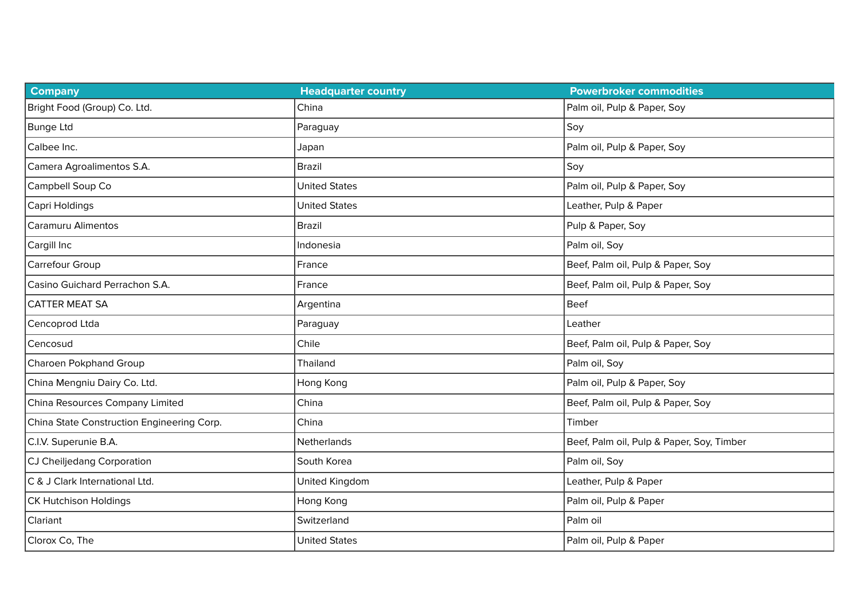| <b>Company</b>                             | <b>Headquarter country</b> | <b>Powerbroker commodities</b>            |
|--------------------------------------------|----------------------------|-------------------------------------------|
| Bright Food (Group) Co. Ltd.               | China                      | Palm oil, Pulp & Paper, Soy               |
| <b>Bunge Ltd</b>                           | Paraguay                   | Soy                                       |
| Calbee Inc.                                | Japan                      | Palm oil, Pulp & Paper, Soy               |
| Camera Agroalimentos S.A.                  | <b>Brazil</b>              | Soy                                       |
| Campbell Soup Co                           | <b>United States</b>       | Palm oil, Pulp & Paper, Soy               |
| Capri Holdings                             | <b>United States</b>       | Leather, Pulp & Paper                     |
| <b>Caramuru Alimentos</b>                  | <b>Brazil</b>              | Pulp & Paper, Soy                         |
| Cargill Inc                                | Indonesia                  | Palm oil, Soy                             |
| Carrefour Group                            | France                     | Beef, Palm oil, Pulp & Paper, Soy         |
| Casino Guichard Perrachon S.A.             | France                     | Beef, Palm oil, Pulp & Paper, Soy         |
| <b>CATTER MEAT SA</b>                      | Argentina                  | <b>Beef</b>                               |
| Cencoprod Ltda                             | Paraguay                   | Leather                                   |
| Cencosud                                   | Chile                      | Beef, Palm oil, Pulp & Paper, Soy         |
| Charoen Pokphand Group                     | Thailand                   | Palm oil, Soy                             |
| China Mengniu Dairy Co. Ltd.               | Hong Kong                  | Palm oil, Pulp & Paper, Soy               |
| China Resources Company Limited            | China                      | Beef, Palm oil, Pulp & Paper, Soy         |
| China State Construction Engineering Corp. | China                      | Timber                                    |
| C.I.V. Superunie B.A.                      | Netherlands                | Beef, Palm oil, Pulp & Paper, Soy, Timber |
| CJ Cheiljedang Corporation                 | South Korea                | Palm oil, Soy                             |
| C & J Clark International Ltd.             | United Kingdom             | Leather, Pulp & Paper                     |
| <b>CK Hutchison Holdings</b>               | Hong Kong                  | Palm oil, Pulp & Paper                    |
| Clariant                                   | Switzerland                | Palm oil                                  |
| Clorox Co, The                             | <b>United States</b>       | Palm oil, Pulp & Paper                    |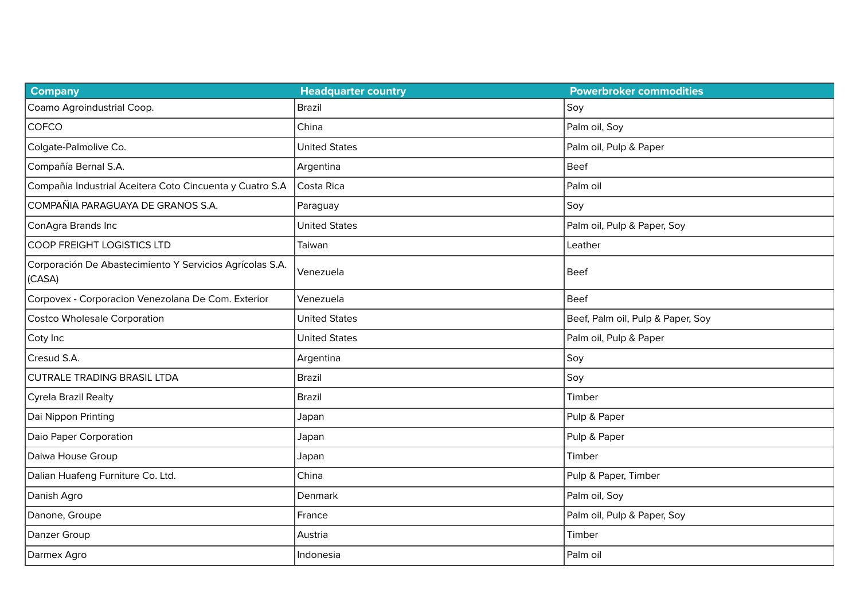| <b>Company</b>                                                     | <b>Headquarter country</b> | <b>Powerbroker commodities</b>    |
|--------------------------------------------------------------------|----------------------------|-----------------------------------|
| Coamo Agroindustrial Coop.                                         | <b>Brazil</b>              | Soy                               |
| COFCO                                                              | China                      | Palm oil, Soy                     |
| Colgate-Palmolive Co.                                              | <b>United States</b>       | Palm oil, Pulp & Paper            |
| Compañía Bernal S.A.                                               | Argentina                  | <b>Beef</b>                       |
| Compañia Industrial Aceitera Coto Cincuenta y Cuatro S.A           | Costa Rica                 | Palm oil                          |
| COMPAÑIA PARAGUAYA DE GRANOS S.A.                                  | Paraguay                   | Soy                               |
| ConAgra Brands Inc                                                 | <b>United States</b>       | Palm oil, Pulp & Paper, Soy       |
| COOP FREIGHT LOGISTICS LTD                                         | Taiwan                     | Leather                           |
| Corporación De Abastecimiento Y Servicios Agrícolas S.A.<br>(CASA) | Venezuela                  | <b>Beef</b>                       |
| Corpovex - Corporacion Venezolana De Com. Exterior                 | Venezuela                  | <b>Beef</b>                       |
| <b>Costco Wholesale Corporation</b>                                | <b>United States</b>       | Beef, Palm oil, Pulp & Paper, Soy |
| Coty Inc                                                           | <b>United States</b>       | Palm oil, Pulp & Paper            |
| Cresud S.A.                                                        | Argentina                  | Soy                               |
| <b>CUTRALE TRADING BRASIL LTDA</b>                                 | <b>Brazil</b>              | Soy                               |
| Cyrela Brazil Realty                                               | <b>Brazil</b>              | Timber                            |
| Dai Nippon Printing                                                | Japan                      | Pulp & Paper                      |
| Daio Paper Corporation                                             | Japan                      | Pulp & Paper                      |
| Daiwa House Group                                                  | Japan                      | Timber                            |
| Dalian Huafeng Furniture Co. Ltd.                                  | China                      | Pulp & Paper, Timber              |
| Danish Agro                                                        | Denmark                    | Palm oil, Soy                     |
| Danone, Groupe                                                     | France                     | Palm oil, Pulp & Paper, Soy       |
| Danzer Group                                                       | Austria                    | Timber                            |
| Darmex Agro                                                        | Indonesia                  | Palm oil                          |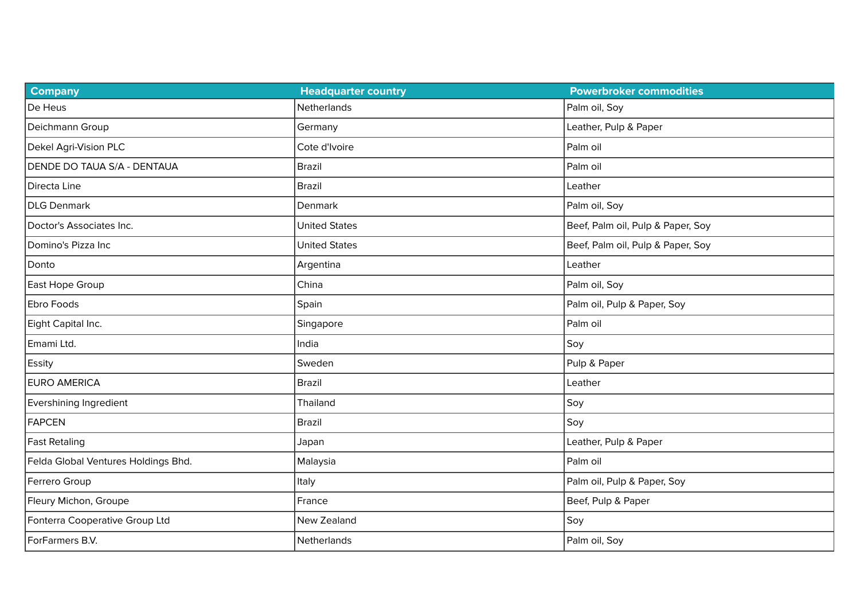| <b>Company</b>                      | <b>Headquarter country</b> | <b>Powerbroker commodities</b>    |
|-------------------------------------|----------------------------|-----------------------------------|
| De Heus                             | Netherlands                | Palm oil, Soy                     |
| Deichmann Group                     | Germany                    | Leather, Pulp & Paper             |
| Dekel Agri-Vision PLC               | Cote d'Ivoire              | Palm oil                          |
| DENDE DO TAUA S/A - DENTAUA         | <b>Brazil</b>              | Palm oil                          |
| Directa Line                        | <b>Brazil</b>              | Leather                           |
| DLG Denmark                         | Denmark                    | Palm oil, Soy                     |
| Doctor's Associates Inc.            | <b>United States</b>       | Beef, Palm oil, Pulp & Paper, Soy |
| Domino's Pizza Inc                  | <b>United States</b>       | Beef, Palm oil, Pulp & Paper, Soy |
| Donto                               | Argentina                  | Leather                           |
| East Hope Group                     | China                      | Palm oil, Soy                     |
| Ebro Foods                          | Spain                      | Palm oil, Pulp & Paper, Soy       |
| Eight Capital Inc.                  | Singapore                  | Palm oil                          |
| Emami Ltd.                          | India                      | Soy                               |
| <b>Essity</b>                       | Sweden                     | Pulp & Paper                      |
| <b>EURO AMERICA</b>                 | <b>Brazil</b>              | Leather                           |
| Evershining Ingredient              | Thailand                   | Soy                               |
| <b>FAPCEN</b>                       | <b>Brazil</b>              | Soy                               |
| <b>Fast Retaling</b>                | Japan                      | Leather, Pulp & Paper             |
| Felda Global Ventures Holdings Bhd. | Malaysia                   | Palm oil                          |
| Ferrero Group                       | Italy                      | Palm oil, Pulp & Paper, Soy       |
| Fleury Michon, Groupe               | France                     | Beef, Pulp & Paper                |
| Fonterra Cooperative Group Ltd      | New Zealand                | Soy                               |
| ForFarmers B.V.                     | Netherlands                | Palm oil, Soy                     |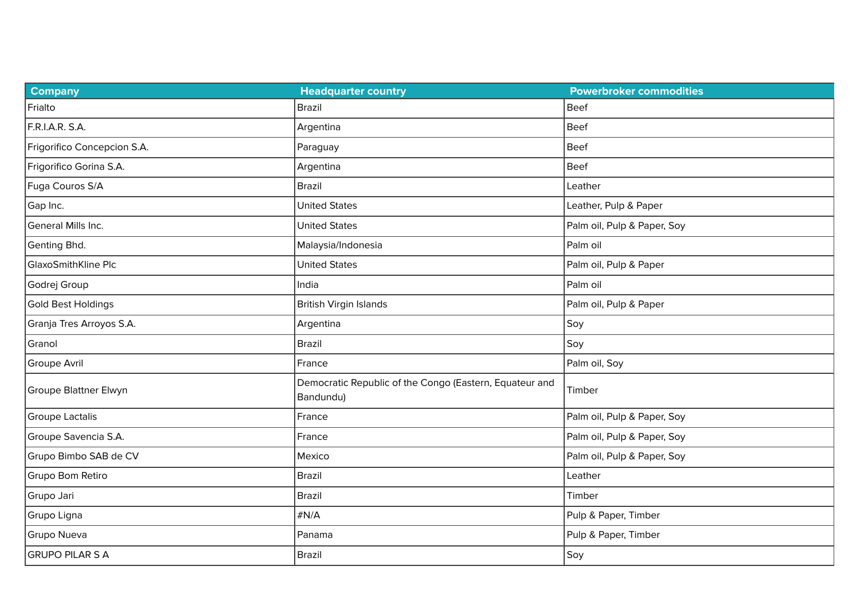| <b>Company</b>              | <b>Headquarter country</b>                                           | <b>Powerbroker commodities</b> |
|-----------------------------|----------------------------------------------------------------------|--------------------------------|
| Frialto                     | <b>Brazil</b>                                                        | <b>Beef</b>                    |
| F.R.I.A.R. S.A.             | Argentina                                                            | <b>Beef</b>                    |
| Frigorifico Concepcion S.A. | Paraguay                                                             | <b>Beef</b>                    |
| Frigorifico Gorina S.A.     | Argentina                                                            | <b>Beef</b>                    |
| Fuga Couros S/A             | <b>Brazil</b>                                                        | Leather                        |
| Gap Inc.                    | <b>United States</b>                                                 | Leather, Pulp & Paper          |
| General Mills Inc.          | <b>United States</b>                                                 | Palm oil, Pulp & Paper, Soy    |
| Genting Bhd.                | Malaysia/Indonesia                                                   | Palm oil                       |
| GlaxoSmithKline Plc         | <b>United States</b>                                                 | Palm oil, Pulp & Paper         |
| Godrej Group                | India                                                                | Palm oil                       |
| Gold Best Holdings          | <b>British Virgin Islands</b>                                        | Palm oil, Pulp & Paper         |
| Granja Tres Arroyos S.A.    | Argentina                                                            | Soy                            |
| Granol                      | <b>Brazil</b>                                                        | Soy                            |
| Groupe Avril                | France                                                               | Palm oil, Soy                  |
| Groupe Blattner Elwyn       | Democratic Republic of the Congo (Eastern, Equateur and<br>Bandundu) | Timber                         |
| <b>Groupe Lactalis</b>      | France                                                               | Palm oil, Pulp & Paper, Soy    |
| Groupe Savencia S.A.        | France                                                               | Palm oil, Pulp & Paper, Soy    |
| Grupo Bimbo SAB de CV       | Mexico                                                               | Palm oil, Pulp & Paper, Soy    |
| Grupo Bom Retiro            | <b>Brazil</b>                                                        | Leather                        |
| Grupo Jari                  | <b>Brazil</b>                                                        | Timber                         |
| Grupo Ligna                 | $\#N/A$                                                              | Pulp & Paper, Timber           |
| Grupo Nueva                 | Panama                                                               | Pulp & Paper, Timber           |
| <b>GRUPO PILAR S A</b>      | <b>Brazil</b>                                                        | Soy                            |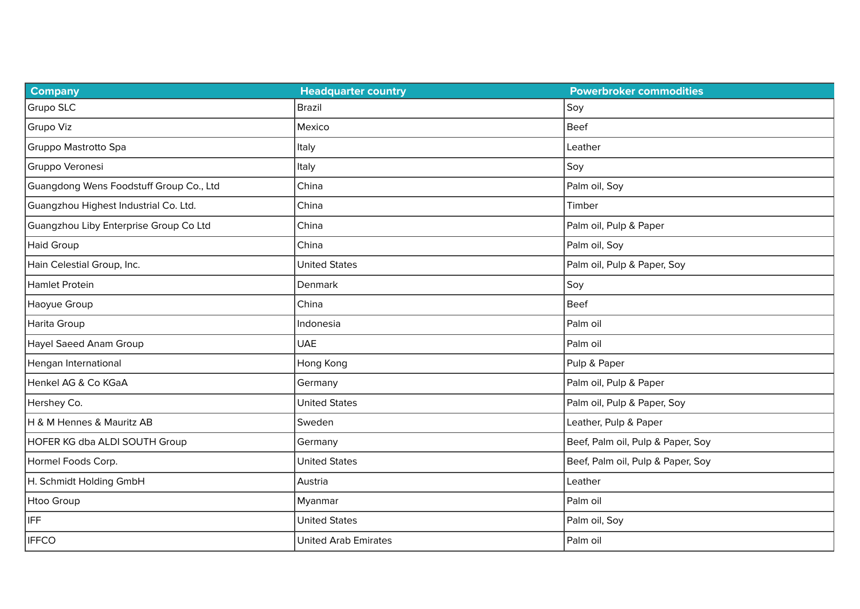| <b>Company</b>                          | <b>Headquarter country</b>  | <b>Powerbroker commodities</b>    |
|-----------------------------------------|-----------------------------|-----------------------------------|
| Grupo SLC                               | <b>Brazil</b>               | Soy                               |
| Grupo Viz                               | Mexico                      | <b>Beef</b>                       |
| Gruppo Mastrotto Spa                    | Italy                       | Leather                           |
| Gruppo Veronesi                         | Italy                       | Soy                               |
| Guangdong Wens Foodstuff Group Co., Ltd | China                       | Palm oil, Soy                     |
| Guangzhou Highest Industrial Co. Ltd.   | China                       | Timber                            |
| Guangzhou Liby Enterprise Group Co Ltd  | China                       | Palm oil, Pulp & Paper            |
| <b>Haid Group</b>                       | China                       | Palm oil, Soy                     |
| Hain Celestial Group, Inc.              | <b>United States</b>        | Palm oil, Pulp & Paper, Soy       |
| Hamlet Protein                          | <b>Denmark</b>              | Soy                               |
| Haoyue Group                            | China                       | Beef                              |
| Harita Group                            | Indonesia                   | Palm oil                          |
| <b>Hayel Saeed Anam Group</b>           | <b>UAE</b>                  | Palm oil                          |
| Hengan International                    | Hong Kong                   | Pulp & Paper                      |
| Henkel AG & Co KGaA                     | Germany                     | Palm oil, Pulp & Paper            |
| Hershey Co.                             | <b>United States</b>        | Palm oil, Pulp & Paper, Soy       |
| H & M Hennes & Mauritz AB               | Sweden                      | Leather, Pulp & Paper             |
| HOFER KG dba ALDI SOUTH Group           | Germany                     | Beef, Palm oil, Pulp & Paper, Soy |
| Hormel Foods Corp.                      | <b>United States</b>        | Beef, Palm oil, Pulp & Paper, Soy |
| H. Schmidt Holding GmbH                 | Austria                     | Leather                           |
| Htoo Group                              | Myanmar                     | Palm oil                          |
| IFF                                     | <b>United States</b>        | Palm oil, Soy                     |
| <b>IFFCO</b>                            | <b>United Arab Emirates</b> | Palm oil                          |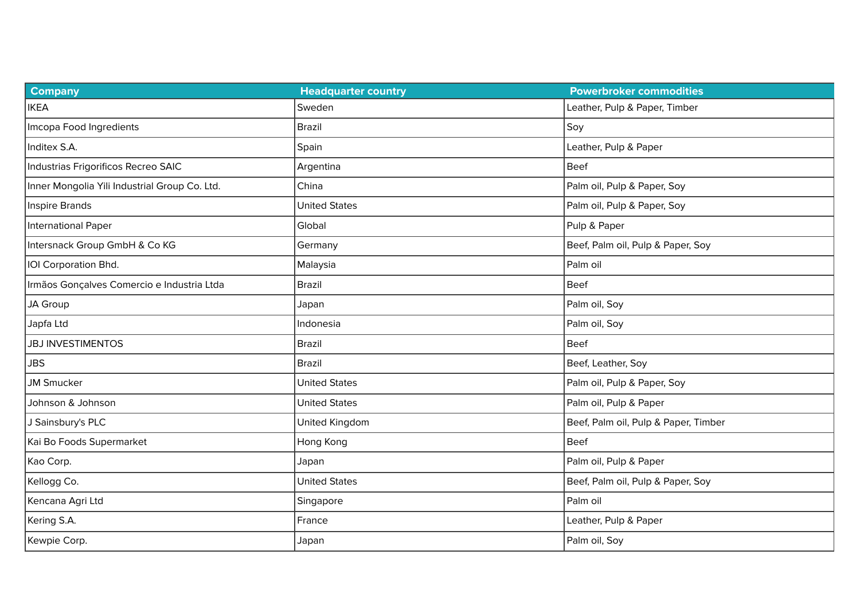| <b>Company</b>                                | <b>Headquarter country</b> | <b>Powerbroker commodities</b>       |
|-----------------------------------------------|----------------------------|--------------------------------------|
| <b>IKEA</b>                                   | Sweden                     | Leather, Pulp & Paper, Timber        |
| Imcopa Food Ingredients                       | <b>Brazil</b>              | Soy                                  |
| Inditex S.A.                                  | Spain                      | Leather, Pulp & Paper                |
| Industrias Frigorificos Recreo SAIC           | Argentina                  | Beef                                 |
| Inner Mongolia Yili Industrial Group Co. Ltd. | China                      | Palm oil, Pulp & Paper, Soy          |
| Inspire Brands                                | <b>United States</b>       | Palm oil, Pulp & Paper, Soy          |
| International Paper                           | Global                     | Pulp & Paper                         |
| Intersnack Group GmbH & Co KG                 | Germany                    | Beef, Palm oil, Pulp & Paper, Soy    |
| IOI Corporation Bhd.                          | Malaysia                   | Palm oil                             |
| Irmãos Gonçalves Comercio e Industria Ltda    | Brazil                     | Beef                                 |
| JA Group                                      | Japan                      | Palm oil, Soy                        |
| Japfa Ltd                                     | Indonesia                  | Palm oil, Soy                        |
| <b>JBJ INVESTIMENTOS</b>                      | <b>Brazil</b>              | <b>Beef</b>                          |
| <b>JBS</b>                                    | <b>Brazil</b>              | Beef, Leather, Soy                   |
| <b>JM Smucker</b>                             | <b>United States</b>       | Palm oil, Pulp & Paper, Soy          |
| Johnson & Johnson                             | <b>United States</b>       | Palm oil, Pulp & Paper               |
| J Sainsbury's PLC                             | United Kingdom             | Beef, Palm oil, Pulp & Paper, Timber |
| Kai Bo Foods Supermarket                      | Hong Kong                  | Beef                                 |
| Kao Corp.                                     | Japan                      | Palm oil, Pulp & Paper               |
| Kellogg Co.                                   | <b>United States</b>       | Beef, Palm oil, Pulp & Paper, Soy    |
| Kencana Agri Ltd                              | Singapore                  | Palm oil                             |
| Kering S.A.                                   | France                     | Leather, Pulp & Paper                |
| Kewpie Corp.                                  | Japan                      | Palm oil, Soy                        |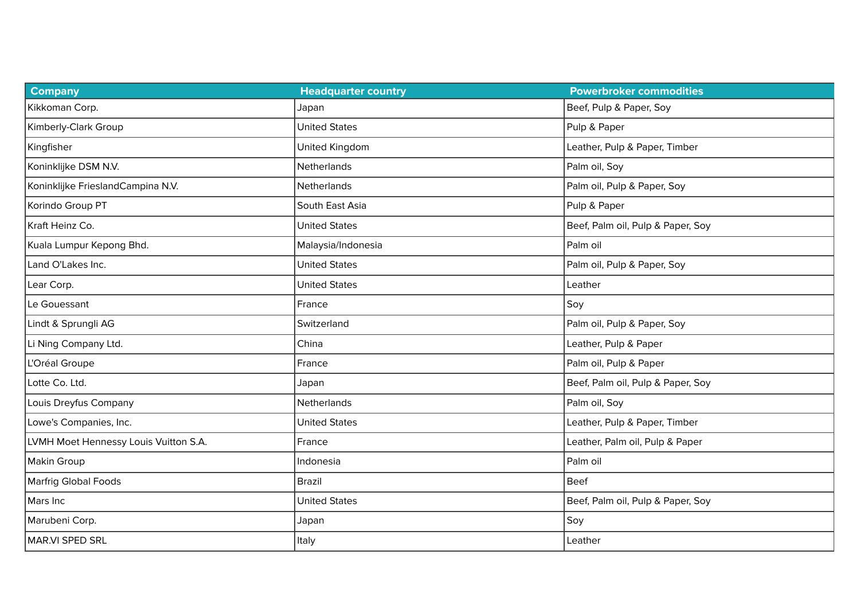| <b>Company</b>                        | <b>Headquarter country</b> | <b>Powerbroker commodities</b>    |
|---------------------------------------|----------------------------|-----------------------------------|
| Kikkoman Corp.                        | Japan                      | Beef, Pulp & Paper, Soy           |
| Kimberly-Clark Group                  | <b>United States</b>       | Pulp & Paper                      |
| Kingfisher                            | United Kingdom             | Leather, Pulp & Paper, Timber     |
| Koninklijke DSM N.V.                  | Netherlands                | Palm oil, Soy                     |
| Koninklijke FrieslandCampina N.V.     | Netherlands                | Palm oil, Pulp & Paper, Soy       |
| Korindo Group PT                      | South East Asia            | Pulp & Paper                      |
| Kraft Heinz Co.                       | <b>United States</b>       | Beef, Palm oil, Pulp & Paper, Soy |
| Kuala Lumpur Kepong Bhd.              | Malaysia/Indonesia         | Palm oil                          |
| Land O'Lakes Inc.                     | <b>United States</b>       | Palm oil, Pulp & Paper, Soy       |
| Lear Corp.                            | <b>United States</b>       | Leather                           |
| Le Gouessant                          | France                     | Soy                               |
| Lindt & Sprungli AG                   | Switzerland                | Palm oil, Pulp & Paper, Soy       |
| Li Ning Company Ltd.                  | China                      | Leather, Pulp & Paper             |
| L'Oréal Groupe                        | France                     | Palm oil, Pulp & Paper            |
| Lotte Co. Ltd.                        | Japan                      | Beef, Palm oil, Pulp & Paper, Soy |
| Louis Dreyfus Company                 | Netherlands                | Palm oil, Soy                     |
| Lowe's Companies, Inc.                | <b>United States</b>       | Leather, Pulp & Paper, Timber     |
| LVMH Moet Hennessy Louis Vuitton S.A. | France                     | Leather, Palm oil, Pulp & Paper   |
| Makin Group                           | Indonesia                  | Palm oil                          |
| Marfrig Global Foods                  | <b>Brazil</b>              | <b>Beef</b>                       |
| Mars Inc                              | <b>United States</b>       | Beef, Palm oil, Pulp & Paper, Soy |
| Marubeni Corp.                        | Japan                      | Soy                               |
| MAR.VI SPED SRL                       | Italy                      | Leather                           |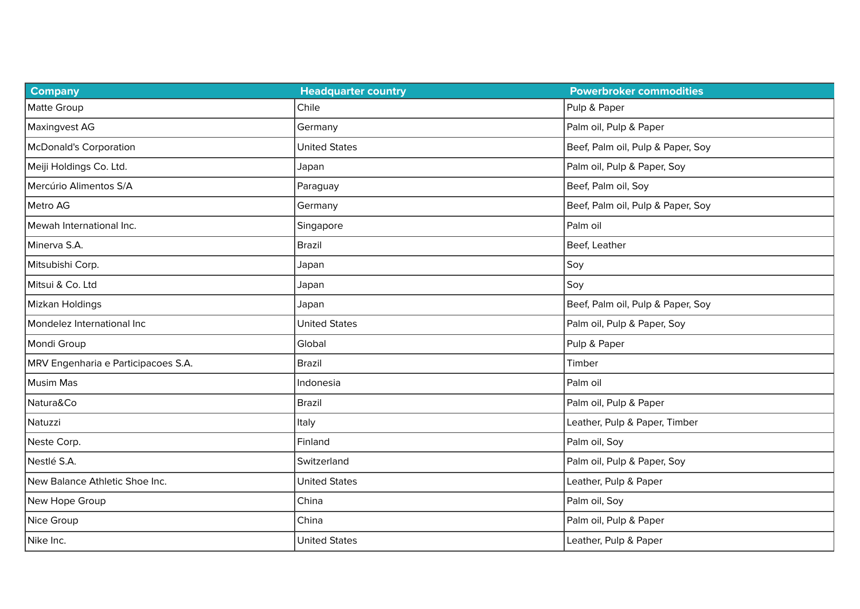| <b>Company</b>                      | <b>Headquarter country</b> | <b>Powerbroker commodities</b>    |
|-------------------------------------|----------------------------|-----------------------------------|
| Matte Group                         | Chile                      | Pulp & Paper                      |
| Maxingvest AG                       | Germany                    | Palm oil, Pulp & Paper            |
| <b>McDonald's Corporation</b>       | <b>United States</b>       | Beef, Palm oil, Pulp & Paper, Soy |
| Meiji Holdings Co. Ltd.             | Japan                      | Palm oil, Pulp & Paper, Soy       |
| Mercúrio Alimentos S/A              | Paraguay                   | Beef, Palm oil, Soy               |
| Metro AG                            | Germany                    | Beef, Palm oil, Pulp & Paper, Soy |
| Mewah International Inc.            | Singapore                  | Palm oil                          |
| Minerva S.A.                        | Brazil                     | Beef, Leather                     |
| Mitsubishi Corp.                    | Japan                      | Soy                               |
| Mitsui & Co. Ltd                    | Japan                      | Soy                               |
| Mizkan Holdings                     | Japan                      | Beef, Palm oil, Pulp & Paper, Soy |
| Mondelez International Inc          | <b>United States</b>       | Palm oil, Pulp & Paper, Soy       |
| Mondi Group                         | Global                     | Pulp & Paper                      |
| MRV Engenharia e Participacoes S.A. | <b>Brazil</b>              | Timber                            |
| <b>Musim Mas</b>                    | Indonesia                  | Palm oil                          |
| Natura&Co                           | Brazil                     | Palm oil, Pulp & Paper            |
| Natuzzi                             | Italy                      | Leather, Pulp & Paper, Timber     |
| Neste Corp.                         | Finland                    | Palm oil, Soy                     |
| Nestlé S.A.                         | Switzerland                | Palm oil, Pulp & Paper, Soy       |
| New Balance Athletic Shoe Inc.      | <b>United States</b>       | Leather, Pulp & Paper             |
| New Hope Group                      | China                      | Palm oil, Soy                     |
| Nice Group                          | China                      | Palm oil, Pulp & Paper            |
| Nike Inc.                           | <b>United States</b>       | Leather, Pulp & Paper             |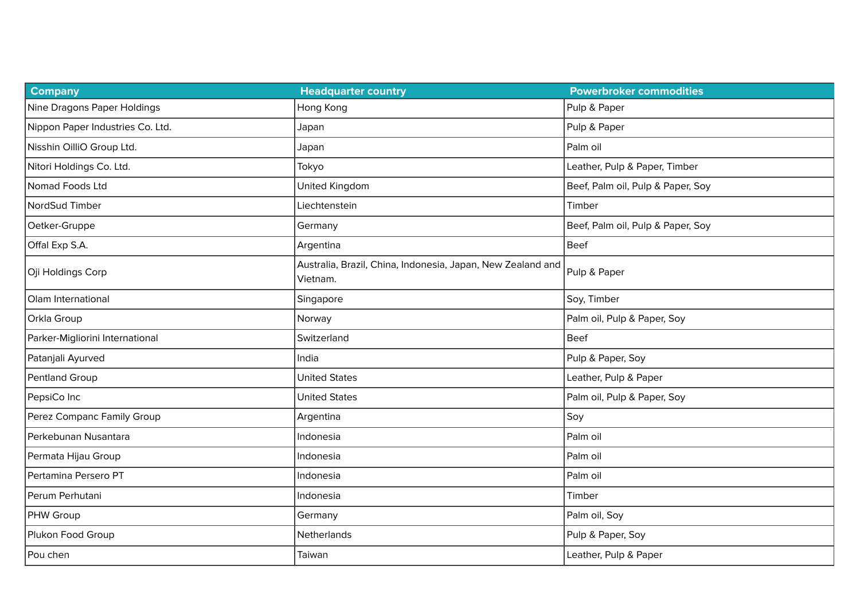| <b>Company</b>                   | <b>Headquarter country</b>                                              | <b>Powerbroker commodities</b>    |
|----------------------------------|-------------------------------------------------------------------------|-----------------------------------|
| Nine Dragons Paper Holdings      | Hong Kong                                                               | Pulp & Paper                      |
| Nippon Paper Industries Co. Ltd. | Japan                                                                   | Pulp & Paper                      |
| Nisshin OilliO Group Ltd.        | Japan                                                                   | Palm oil                          |
| Nitori Holdings Co. Ltd.         | Tokyo                                                                   | Leather, Pulp & Paper, Timber     |
| Nomad Foods Ltd                  | United Kingdom                                                          | Beef, Palm oil, Pulp & Paper, Soy |
| NordSud Timber                   | Liechtenstein                                                           | Timber                            |
| Oetker-Gruppe                    | Germany                                                                 | Beef, Palm oil, Pulp & Paper, Soy |
| Offal Exp S.A.                   | Argentina                                                               | <b>Beef</b>                       |
| Oji Holdings Corp                | Australia, Brazil, China, Indonesia, Japan, New Zealand and<br>Vietnam. | Pulp & Paper                      |
| Olam International               | Singapore                                                               | Soy, Timber                       |
| Orkla Group                      | Norway                                                                  | Palm oil, Pulp & Paper, Soy       |
| Parker-Migliorini International  | Switzerland                                                             | <b>Beef</b>                       |
| Patanjali Ayurved                | India                                                                   | Pulp & Paper, Soy                 |
| Pentland Group                   | <b>United States</b>                                                    | Leather, Pulp & Paper             |
| PepsiCo Inc                      | <b>United States</b>                                                    | Palm oil, Pulp & Paper, Soy       |
| Perez Companc Family Group       | Argentina                                                               | Soy                               |
| Perkebunan Nusantara             | Indonesia                                                               | Palm oil                          |
| Permata Hijau Group              | Indonesia                                                               | Palm oil                          |
| Pertamina Persero PT             | Indonesia                                                               | Palm oil                          |
| Perum Perhutani                  | Indonesia                                                               | Timber                            |
| PHW Group                        | Germany                                                                 | Palm oil, Soy                     |
| Plukon Food Group                | Netherlands                                                             | Pulp & Paper, Soy                 |
| Pou chen                         | Taiwan                                                                  | Leather, Pulp & Paper             |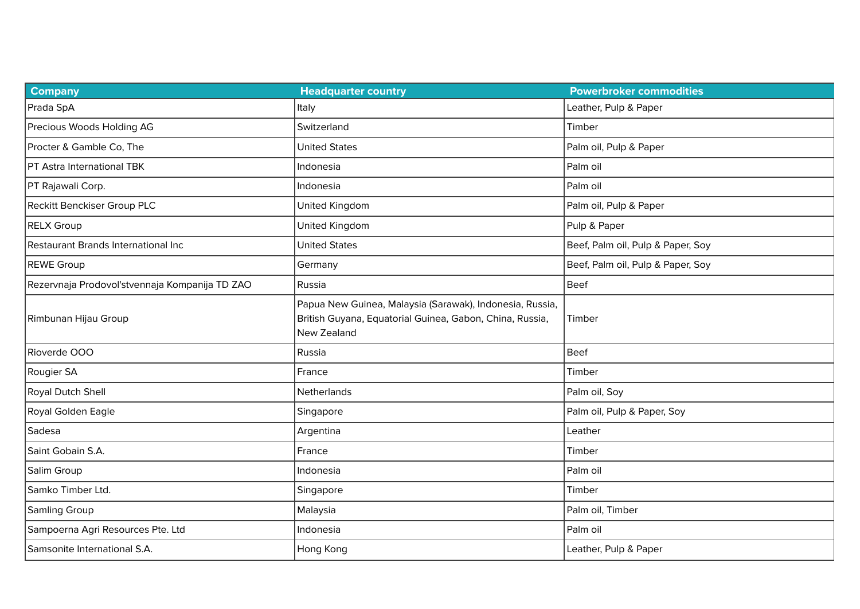| <b>Company</b>                                 | <b>Headquarter country</b>                                                                                                          | <b>Powerbroker commodities</b>    |
|------------------------------------------------|-------------------------------------------------------------------------------------------------------------------------------------|-----------------------------------|
| Prada SpA                                      | Italy                                                                                                                               | Leather, Pulp & Paper             |
| Precious Woods Holding AG                      | Switzerland                                                                                                                         | Timber                            |
| Procter & Gamble Co, The                       | <b>United States</b>                                                                                                                | Palm oil, Pulp & Paper            |
| PT Astra International TBK                     | Indonesia                                                                                                                           | Palm oil                          |
| PT Rajawali Corp.                              | Indonesia                                                                                                                           | Palm oil                          |
| Reckitt Benckiser Group PLC                    | United Kingdom                                                                                                                      | Palm oil, Pulp & Paper            |
| <b>RELX Group</b>                              | United Kingdom                                                                                                                      | Pulp & Paper                      |
| Restaurant Brands International Inc            | <b>United States</b>                                                                                                                | Beef, Palm oil, Pulp & Paper, Soy |
| <b>REWE Group</b>                              | Germany                                                                                                                             | Beef, Palm oil, Pulp & Paper, Soy |
| Rezervnaja Prodovol'stvennaja Kompanija TD ZAO | Russia                                                                                                                              | <b>Beef</b>                       |
| Rimbunan Hijau Group                           | Papua New Guinea, Malaysia (Sarawak), Indonesia, Russia,<br>British Guyana, Equatorial Guinea, Gabon, China, Russia,<br>New Zealand | Timber                            |
| Rioverde OOO                                   | Russia                                                                                                                              | Beef                              |
| Rougier SA                                     | France                                                                                                                              | Timber                            |
| Royal Dutch Shell                              | Netherlands                                                                                                                         | Palm oil, Soy                     |
| Royal Golden Eagle                             | Singapore                                                                                                                           | Palm oil, Pulp & Paper, Soy       |
| Sadesa                                         | Argentina                                                                                                                           | Leather                           |
| Saint Gobain S.A.                              | France                                                                                                                              | Timber                            |
| Salim Group                                    | Indonesia                                                                                                                           | Palm oil                          |
| Samko Timber Ltd.                              | Singapore                                                                                                                           | Timber                            |
| Samling Group                                  | Malaysia                                                                                                                            | Palm oil, Timber                  |
| Sampoerna Agri Resources Pte. Ltd              | Indonesia                                                                                                                           | Palm oil                          |
| Samsonite International S.A.                   | Hong Kong                                                                                                                           | Leather, Pulp & Paper             |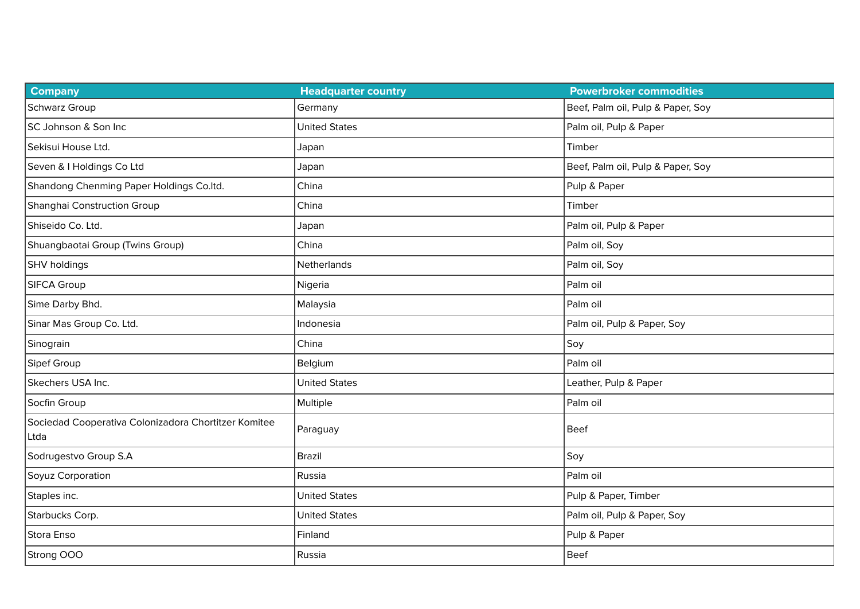| <b>Company</b>                                               | <b>Headquarter country</b> | <b>Powerbroker commodities</b>    |
|--------------------------------------------------------------|----------------------------|-----------------------------------|
| Schwarz Group                                                | Germany                    | Beef, Palm oil, Pulp & Paper, Soy |
| SC Johnson & Son Inc                                         | <b>United States</b>       | Palm oil, Pulp & Paper            |
| Sekisui House Ltd.                                           | Japan                      | Timber                            |
| Seven & I Holdings Co Ltd                                    | Japan                      | Beef, Palm oil, Pulp & Paper, Soy |
| Shandong Chenming Paper Holdings Co.ltd.                     | China                      | Pulp & Paper                      |
| Shanghai Construction Group                                  | China                      | Timber                            |
| Shiseido Co. Ltd.                                            | Japan                      | Palm oil, Pulp & Paper            |
| Shuangbaotai Group (Twins Group)                             | China                      | Palm oil, Soy                     |
| SHV holdings                                                 | Netherlands                | Palm oil, Soy                     |
| SIFCA Group                                                  | Nigeria                    | Palm oil                          |
| Sime Darby Bhd.                                              | Malaysia                   | Palm oil                          |
| Sinar Mas Group Co. Ltd.                                     | Indonesia                  | Palm oil, Pulp & Paper, Soy       |
| Sinograin                                                    | China                      | Soy                               |
| Sipef Group                                                  | Belgium                    | Palm oil                          |
| Skechers USA Inc.                                            | <b>United States</b>       | Leather, Pulp & Paper             |
| Socfin Group                                                 | Multiple                   | Palm oil                          |
| Sociedad Cooperativa Colonizadora Chortitzer Komitee<br>Ltda | Paraguay                   | <b>Beef</b>                       |
| Sodrugestvo Group S.A                                        | <b>Brazil</b>              | Soy                               |
| Soyuz Corporation                                            | Russia                     | Palm oil                          |
| Staples inc.                                                 | <b>United States</b>       | Pulp & Paper, Timber              |
| Starbucks Corp.                                              | <b>United States</b>       | Palm oil, Pulp & Paper, Soy       |
| Stora Enso                                                   | Finland                    | Pulp & Paper                      |
| Strong OOO                                                   | Russia                     | Beef                              |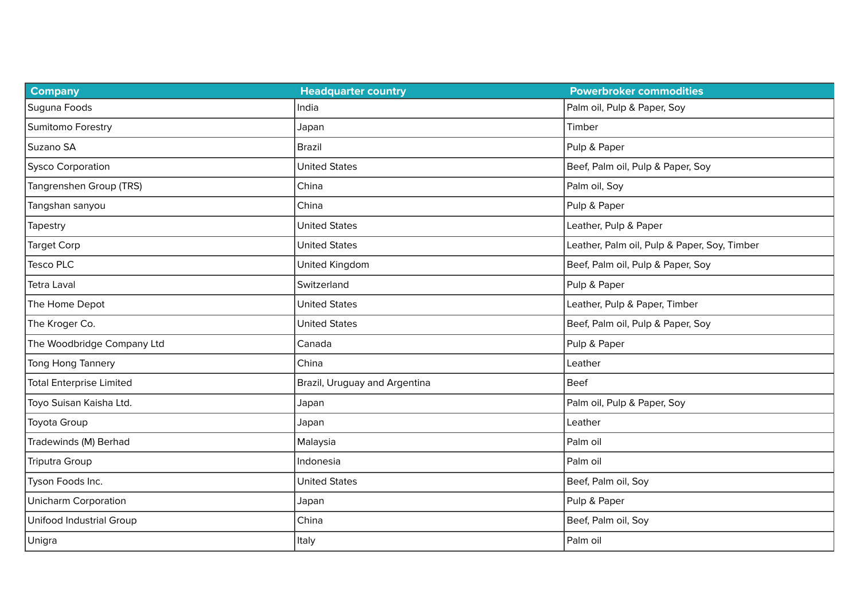| <b>Company</b>                  | <b>Headquarter country</b>    | <b>Powerbroker commodities</b>               |
|---------------------------------|-------------------------------|----------------------------------------------|
| Suguna Foods                    | India                         | Palm oil, Pulp & Paper, Soy                  |
| Sumitomo Forestry               | Japan                         | Timber                                       |
| Suzano SA                       | Brazil                        | Pulp & Paper                                 |
| <b>Sysco Corporation</b>        | <b>United States</b>          | Beef, Palm oil, Pulp & Paper, Soy            |
| Tangrenshen Group (TRS)         | China                         | Palm oil, Soy                                |
| Tangshan sanyou                 | China                         | Pulp & Paper                                 |
| Tapestry                        | <b>United States</b>          | Leather, Pulp & Paper                        |
| <b>Target Corp</b>              | <b>United States</b>          | Leather, Palm oil, Pulp & Paper, Soy, Timber |
| <b>Tesco PLC</b>                | United Kingdom                | Beef, Palm oil, Pulp & Paper, Soy            |
| <b>Tetra Laval</b>              | Switzerland                   | Pulp & Paper                                 |
| The Home Depot                  | <b>United States</b>          | Leather, Pulp & Paper, Timber                |
| The Kroger Co.                  | <b>United States</b>          | Beef, Palm oil, Pulp & Paper, Soy            |
| The Woodbridge Company Ltd      | Canada                        | Pulp & Paper                                 |
| Tong Hong Tannery               | China                         | Leather                                      |
| <b>Total Enterprise Limited</b> | Brazil, Uruguay and Argentina | <b>Beef</b>                                  |
| Toyo Suisan Kaisha Ltd.         | Japan                         | Palm oil, Pulp & Paper, Soy                  |
| Toyota Group                    | Japan                         | Leather                                      |
| Tradewinds (M) Berhad           | Malaysia                      | Palm oil                                     |
| <b>Triputra Group</b>           | Indonesia                     | Palm oil                                     |
| Tyson Foods Inc.                | <b>United States</b>          | Beef, Palm oil, Soy                          |
| <b>Unicharm Corporation</b>     | Japan                         | Pulp & Paper                                 |
| Unifood Industrial Group        | China                         | Beef, Palm oil, Soy                          |
| Unigra                          | Italy                         | Palm oil                                     |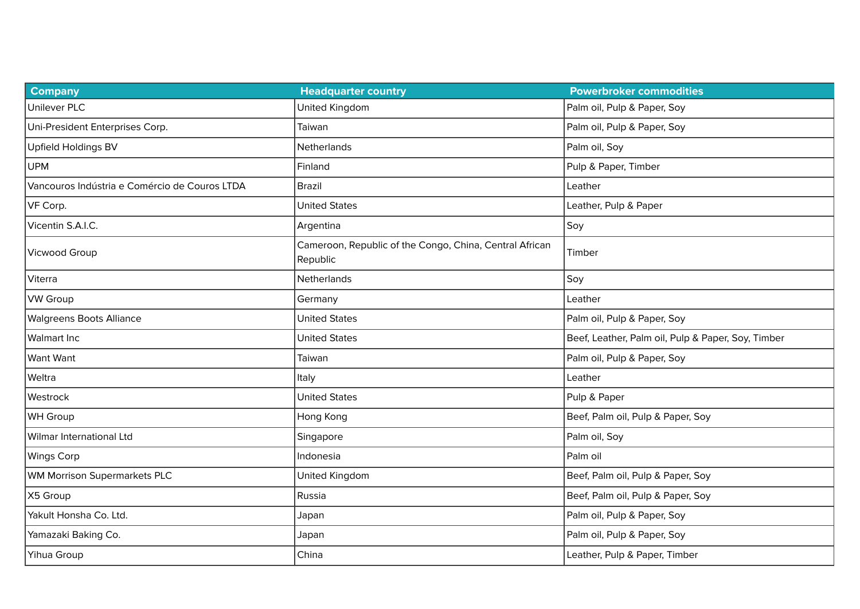| <b>Company</b>                                | <b>Headquarter country</b>                                          | <b>Powerbroker commodities</b>                     |
|-----------------------------------------------|---------------------------------------------------------------------|----------------------------------------------------|
| <b>Unilever PLC</b>                           | United Kingdom                                                      | Palm oil, Pulp & Paper, Soy                        |
| Uni-President Enterprises Corp.               | Taiwan                                                              | Palm oil, Pulp & Paper, Soy                        |
| Upfield Holdings BV                           | Netherlands                                                         | Palm oil, Soy                                      |
| <b>UPM</b>                                    | Finland                                                             | Pulp & Paper, Timber                               |
| Vancouros Indústria e Comércio de Couros LTDA | <b>Brazil</b>                                                       | Leather                                            |
| VF Corp.                                      | <b>United States</b>                                                | Leather, Pulp & Paper                              |
| Vicentin S.A.I.C.                             | Argentina                                                           | Soy                                                |
| Vicwood Group                                 | Cameroon, Republic of the Congo, China, Central African<br>Republic | Timber                                             |
| Viterra                                       | Netherlands                                                         | Soy                                                |
| <b>VW Group</b>                               | Germany                                                             | Leather                                            |
| <b>Walgreens Boots Alliance</b>               | <b>United States</b>                                                | Palm oil, Pulp & Paper, Soy                        |
| <b>Walmart Inc</b>                            | <b>United States</b>                                                | Beef, Leather, Palm oil, Pulp & Paper, Soy, Timber |
| Want Want                                     | Taiwan                                                              | Palm oil, Pulp & Paper, Soy                        |
| Weltra                                        | Italy                                                               | Leather                                            |
| Westrock                                      | <b>United States</b>                                                | Pulp & Paper                                       |
| WH Group                                      | Hong Kong                                                           | Beef, Palm oil, Pulp & Paper, Soy                  |
| Wilmar International Ltd                      | Singapore                                                           | Palm oil, Soy                                      |
| <b>Wings Corp</b>                             | Indonesia                                                           | Palm oil                                           |
| <b>WM Morrison Supermarkets PLC</b>           | United Kingdom                                                      | Beef, Palm oil, Pulp & Paper, Soy                  |
| X5 Group                                      | Russia                                                              | Beef, Palm oil, Pulp & Paper, Soy                  |
| Yakult Honsha Co. Ltd.                        | Japan                                                               | Palm oil, Pulp & Paper, Soy                        |
| Yamazaki Baking Co.                           | Japan                                                               | Palm oil, Pulp & Paper, Soy                        |
| Yihua Group                                   | China                                                               | Leather, Pulp & Paper, Timber                      |